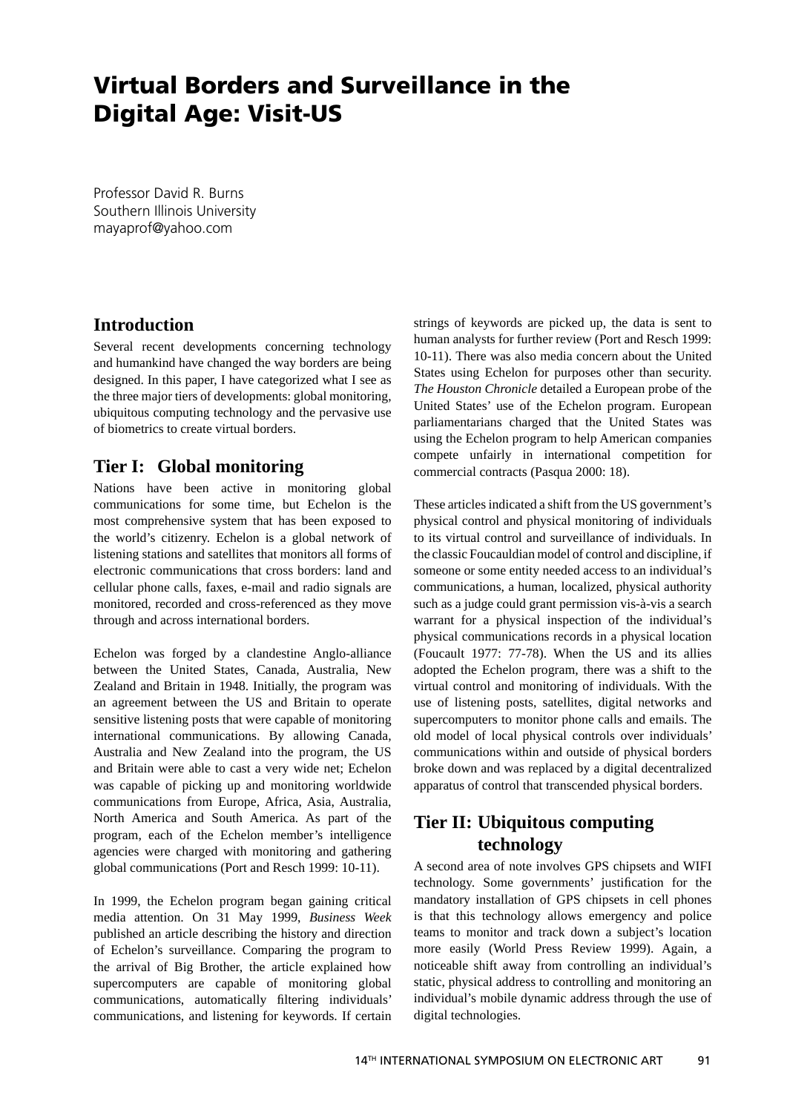# **Virtual Borders and Surveillance in the Digital Age: Visit-US**

Professor David R. Burns Southern Illinois University mayaprof@yahoo.com

#### **Introduction**

Several recent developments concerning technology and humankind have changed the way borders are being designed. In this paper, I have categorized what I see as the three major tiers of developments: global monitoring, ubiquitous computing technology and the pervasive use of biometrics to create virtual borders.

### **Tier I: Global monitoring**

Nations have been active in monitoring global communications for some time, but Echelon is the most comprehensive system that has been exposed to the world's citizenry. Echelon is a global network of listening stations and satellites that monitors all forms of electronic communications that cross borders: land and cellular phone calls, faxes, e-mail and radio signals are monitored, recorded and cross-referenced as they move through and across international borders.

Echelon was forged by a clandestine Anglo-alliance between the United States, Canada, Australia, New Zealand and Britain in 1948. Initially, the program was an agreement between the US and Britain to operate sensitive listening posts that were capable of monitoring international communications. By allowing Canada, Australia and New Zealand into the program, the US and Britain were able to cast a very wide net; Echelon was capable of picking up and monitoring worldwide communications from Europe, Africa, Asia, Australia, North America and South America. As part of the program, each of the Echelon member's intelligence agencies were charged with monitoring and gathering global communications (Port and Resch 1999: 10-11).

In 1999, the Echelon program began gaining critical media attention. On 31 May 1999, *Business Week*  published an article describing the history and direction of Echelon's surveillance. Comparing the program to the arrival of Big Brother, the article explained how supercomputers are capable of monitoring global communications, automatically filtering individuals' communications, and listening for keywords. If certain

strings of keywords are picked up, the data is sent to human analysts for further review (Port and Resch 1999: 10-11). There was also media concern about the United States using Echelon for purposes other than security. *The Houston Chronicle* detailed a European probe of the United States' use of the Echelon program. European parliamentarians charged that the United States was using the Echelon program to help American companies compete unfairly in international competition for commercial contracts (Pasqua 2000: 18).

These articles indicated a shift from the US government's physical control and physical monitoring of individuals to its virtual control and surveillance of individuals. In the classic Foucauldian model of control and discipline, if someone or some entity needed access to an individual's communications, a human, localized, physical authority such as a judge could grant permission vis-à-vis a search warrant for a physical inspection of the individual's physical communications records in a physical location (Foucault 1977: 77-78). When the US and its allies adopted the Echelon program, there was a shift to the virtual control and monitoring of individuals. With the use of listening posts, satellites, digital networks and supercomputers to monitor phone calls and emails. The old model of local physical controls over individuals' communications within and outside of physical borders broke down and was replaced by a digital decentralized apparatus of control that transcended physical borders.

## **Tier II: Ubiquitous computing technology**

A second area of note involves GPS chipsets and WIFI technology. Some governments' justification for the mandatory installation of GPS chipsets in cell phones is that this technology allows emergency and police teams to monitor and track down a subject's location more easily (World Press Review 1999). Again, a noticeable shift away from controlling an individual's static, physical address to controlling and monitoring an individual's mobile dynamic address through the use of digital technologies.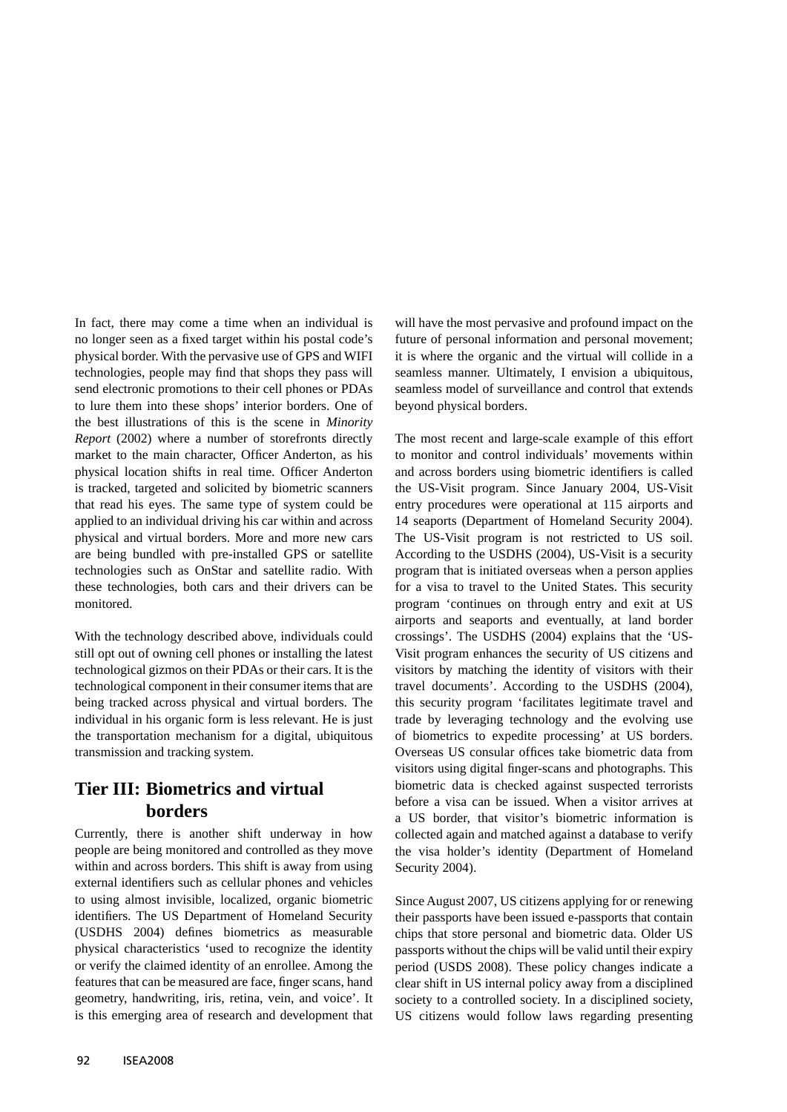In fact, there may come a time when an individual is no longer seen as a fixed target within his postal code's physical border. With the pervasive use of GPS and WIFI technologies, people may find that shops they pass will send electronic promotions to their cell phones or PDAs to lure them into these shops' interior borders. One of the best illustrations of this is the scene in *Minority Report* (2002) where a number of storefronts directly market to the main character, Officer Anderton, as his physical location shifts in real time. Officer Anderton is tracked, targeted and solicited by biometric scanners that read his eyes. The same type of system could be applied to an individual driving his car within and across physical and virtual borders. More and more new cars are being bundled with pre-installed GPS or satellite technologies such as OnStar and satellite radio. With these technologies, both cars and their drivers can be monitored.

With the technology described above, individuals could still opt out of owning cell phones or installing the latest technological gizmos on their PDAs or their cars. It is the technological component in their consumer items that are being tracked across physical and virtual borders. The individual in his organic form is less relevant. He is just the transportation mechanism for a digital, ubiquitous transmission and tracking system.

### **Tier III: Biometrics and virtual borders**

Currently, there is another shift underway in how people are being monitored and controlled as they move within and across borders. This shift is away from using external identifiers such as cellular phones and vehicles to using almost invisible, localized, organic biometric identifiers. The US Department of Homeland Security (USDHS 2004) defines biometrics as measurable physical characteristics 'used to recognize the identity or verify the claimed identity of an enrollee. Among the features that can be measured are face, finger scans, hand geometry, handwriting, iris, retina, vein, and voice'. It is this emerging area of research and development that

will have the most pervasive and profound impact on the future of personal information and personal movement; it is where the organic and the virtual will collide in a seamless manner. Ultimately, I envision a ubiquitous, seamless model of surveillance and control that extends beyond physical borders.

The most recent and large-scale example of this effort to monitor and control individuals' movements within and across borders using biometric identifiers is called the US-Visit program. Since January 2004, US-Visit entry procedures were operational at 115 airports and 14 seaports (Department of Homeland Security 2004). The US-Visit program is not restricted to US soil. According to the USDHS (2004), US-Visit is a security program that is initiated overseas when a person applies for a visa to travel to the United States. This security program 'continues on through entry and exit at US airports and seaports and eventually, at land border crossings'. The USDHS (2004) explains that the 'US-Visit program enhances the security of US citizens and visitors by matching the identity of visitors with their travel documents'. According to the USDHS (2004), this security program 'facilitates legitimate travel and trade by leveraging technology and the evolving use of biometrics to expedite processing' at US borders. Overseas US consular offices take biometric data from visitors using digital finger-scans and photographs. This biometric data is checked against suspected terrorists before a visa can be issued. When a visitor arrives at a US border, that visitor's biometric information is collected again and matched against a database to verify the visa holder's identity (Department of Homeland Security 2004).

Since August 2007, US citizens applying for or renewing their passports have been issued e-passports that contain chips that store personal and biometric data. Older US passports without the chips will be valid until their expiry period (USDS 2008). These policy changes indicate a clear shift in US internal policy away from a disciplined society to a controlled society. In a disciplined society, US citizens would follow laws regarding presenting